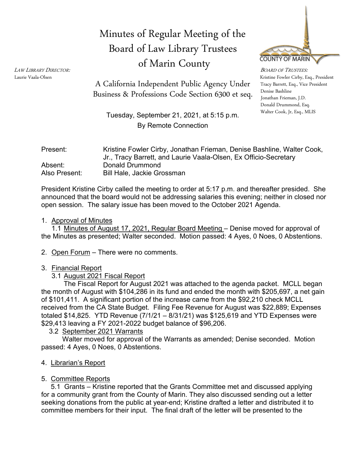# Minutes of Regular Meeting of the Board of Law Library Trustees of Marin County



Walter Cook, Jr, Esq., MLIS

LAW LIBRARY DIRECTOR:<br>Laurie Vaala-Olsen Kristine Fowler Cirby, Esq., President Tracy Barrett, Esq., Vice President Denise Bashline Donald Drummond, Esq.

Business & Professions Code Section 6300 et seq. Denise Bashline A California Independent Public Agency Under

> Tuesday, September 21, 2021, at 5:15 p.m. By Remote Connection

| Present:      | Kristine Fowler Cirby, Jonathan Frieman, Denise Bashline, Walter Cook, |
|---------------|------------------------------------------------------------------------|
|               | Jr., Tracy Barrett, and Laurie Vaala-Olsen, Ex Officio-Secretary       |
| Absent:       | Donald Drummond                                                        |
| Also Present: | <b>Bill Hale, Jackie Grossman</b>                                      |

President Kristine Cirby called the meeting to order at 5:17 p.m. and thereafter presided. She announced that the board would not be addressing salaries this evening; neither in closed nor open session. The salary issue has been moved to the October 2021 Agenda.

#### 1. Approval of Minutes

1.1 Minutes of August 17, 2021, Regular Board Meeting – Denise moved for approval of the Minutes as presented; Walter seconded. Motion passed: 4 Ayes, 0 Noes, 0 Abstentions.

2. Open Forum - There were no comments.

#### 3. Financial Report

3.1 August 2021 Fiscal Report

The Fiscal Report for August 2021 was attached to the agenda packet. MCLL began the month of August with \$104,286 in its fund and ended the month with \$205,697, a net gain of \$101,411. A significant portion of the increase came from the \$92,210 check MCLL received from the CA State Budget. Filing Fee Revenue for August was \$22,889; Expenses totaled \$14,825. YTD Revenue (7/1/21 – 8/31/21) was \$125,619 and YTD Expenses were \$29,413 leaving a FY 2021-2022 budget balance of \$96,206.

## 3.2 September 2021 Warrants

 Walter moved for approval of the Warrants as amended; Denise seconded. Motion passed: 4 Ayes, 0 Noes, 0 Abstentions.

4. Librarian's Report

## 5. Committee Reports

 5.1 Grants – Kristine reported that the Grants Committee met and discussed applying for a community grant from the County of Marin. They also discussed sending out a letter seeking donations from the public at year-end; Kristine drafted a letter and distributed it to committee members for their input. The final draft of the letter will be presented to the